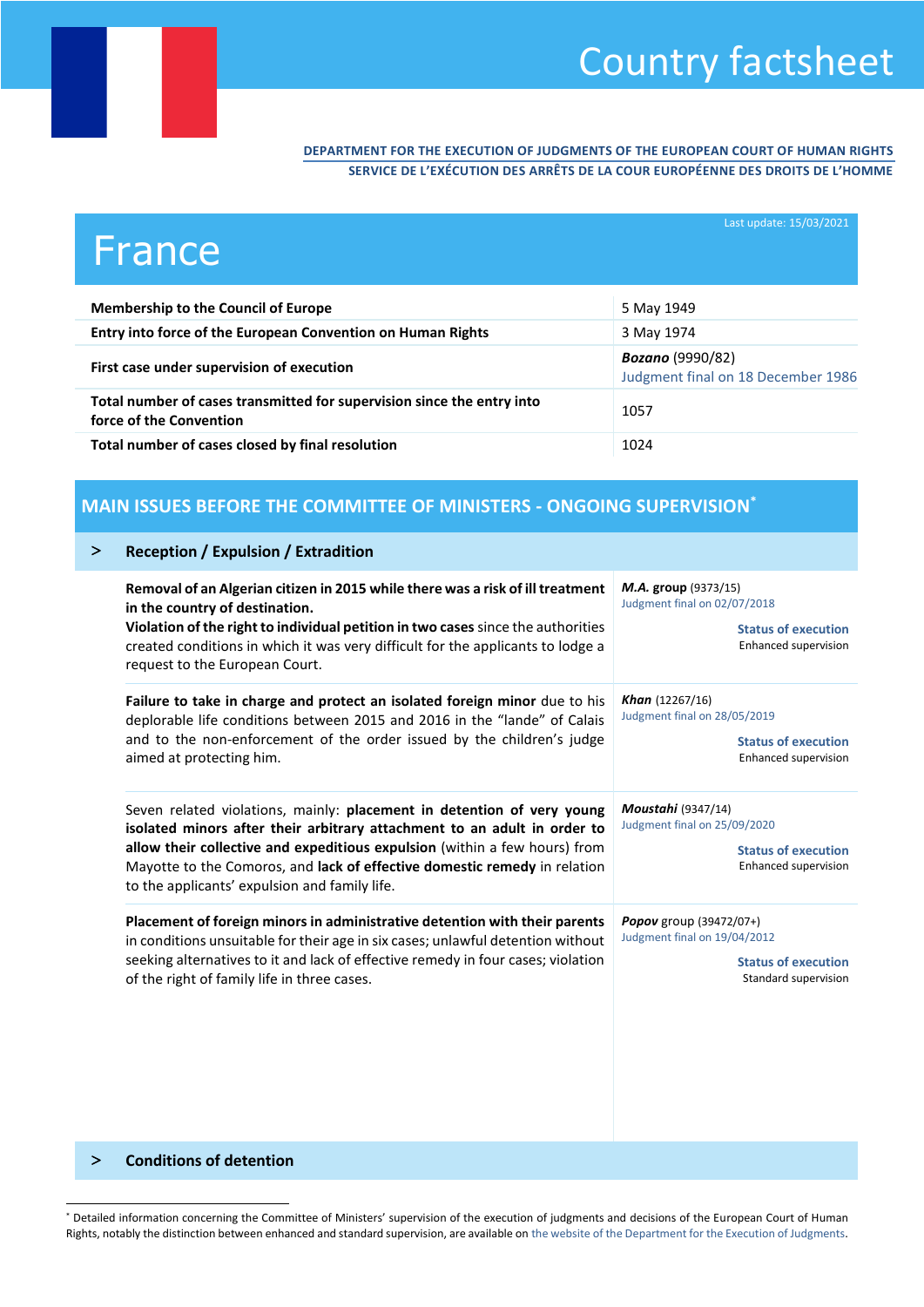# Country factsheet

#### **DEPARTMENT FOR THE EXECUTION OF JUDGMENTS OF THE EUROPEAN COURT OF HUMAN RIGHTS SERVICE DE L'EXÉCUTION DES ARRÊTS DE LA COUR EUROPÉENNE DES DROITS DE L'HOMME**

| France                                                                                            | Last update: 15/03/2021                                       |
|---------------------------------------------------------------------------------------------------|---------------------------------------------------------------|
| <b>Membership to the Council of Europe</b>                                                        | 5 May 1949                                                    |
| Entry into force of the European Convention on Human Rights                                       | 3 May 1974                                                    |
| First case under supervision of execution                                                         | <b>Bozano</b> (9990/82)<br>Judgment final on 18 December 1986 |
| Total number of cases transmitted for supervision since the entry into<br>force of the Convention | 1057                                                          |
| Total number of cases closed by final resolution                                                  | 1024                                                          |

### **MAIN ISSUES BEFORE THE COMMITTEE OF MINISTERS - ONGOING SUPERVISION\***

|  |  |  | <b>Reception / Expulsion / Extradition</b> |
|--|--|--|--------------------------------------------|
|--|--|--|--------------------------------------------|

| Removal of an Algerian citizen in 2015 while there was a risk of ill treatment<br>in the country of destination.<br>Violation of the right to individual petition in two cases since the authorities<br>created conditions in which it was very difficult for the applicants to lodge a<br>request to the European Court.                                      | M.A. group (9373/15)<br>Judgment final on 02/07/2018<br><b>Status of execution</b><br>Enhanced supervision      |
|----------------------------------------------------------------------------------------------------------------------------------------------------------------------------------------------------------------------------------------------------------------------------------------------------------------------------------------------------------------|-----------------------------------------------------------------------------------------------------------------|
| Failure to take in charge and protect an isolated foreign minor due to his                                                                                                                                                                                                                                                                                     | <b>Khan</b> $(12267/16)$                                                                                        |
| deplorable life conditions between 2015 and 2016 in the "lande" of Calais                                                                                                                                                                                                                                                                                      | Judgment final on 28/05/2019                                                                                    |
| and to the non-enforcement of the order issued by the children's judge                                                                                                                                                                                                                                                                                         | <b>Status of execution</b>                                                                                      |
| aimed at protecting him.                                                                                                                                                                                                                                                                                                                                       | Enhanced supervision                                                                                            |
| Seven related violations, mainly: placement in detention of very young<br>isolated minors after their arbitrary attachment to an adult in order to<br>allow their collective and expeditious expulsion (within a few hours) from<br>Mayotte to the Comoros, and lack of effective domestic remedy in relation<br>to the applicants' expulsion and family life. | <b>Moustahi</b> (9347/14)<br>Judgment final on 25/09/2020<br><b>Status of execution</b><br>Enhanced supervision |
| Placement of foreign minors in administrative detention with their parents                                                                                                                                                                                                                                                                                     | Popov group (39472/07+)                                                                                         |
| in conditions unsuitable for their age in six cases; unlawful detention without                                                                                                                                                                                                                                                                                | Judgment final on 19/04/2012                                                                                    |
| seeking alternatives to it and lack of effective remedy in four cases; violation                                                                                                                                                                                                                                                                               | <b>Status of execution</b>                                                                                      |
| of the right of family life in three cases.                                                                                                                                                                                                                                                                                                                    | Standard supervision                                                                                            |

#### **Conditions of detention**

l

<sup>\*</sup> Detailed information concerning the Committee of Ministers' supervision of the execution of judgments and decisions of the European Court of Human Rights, notably the distinction between enhanced and standard supervision, are available o[n the website of the Department for the Execution of Judgments.](http://www.coe.int/en/web/execution/glossary)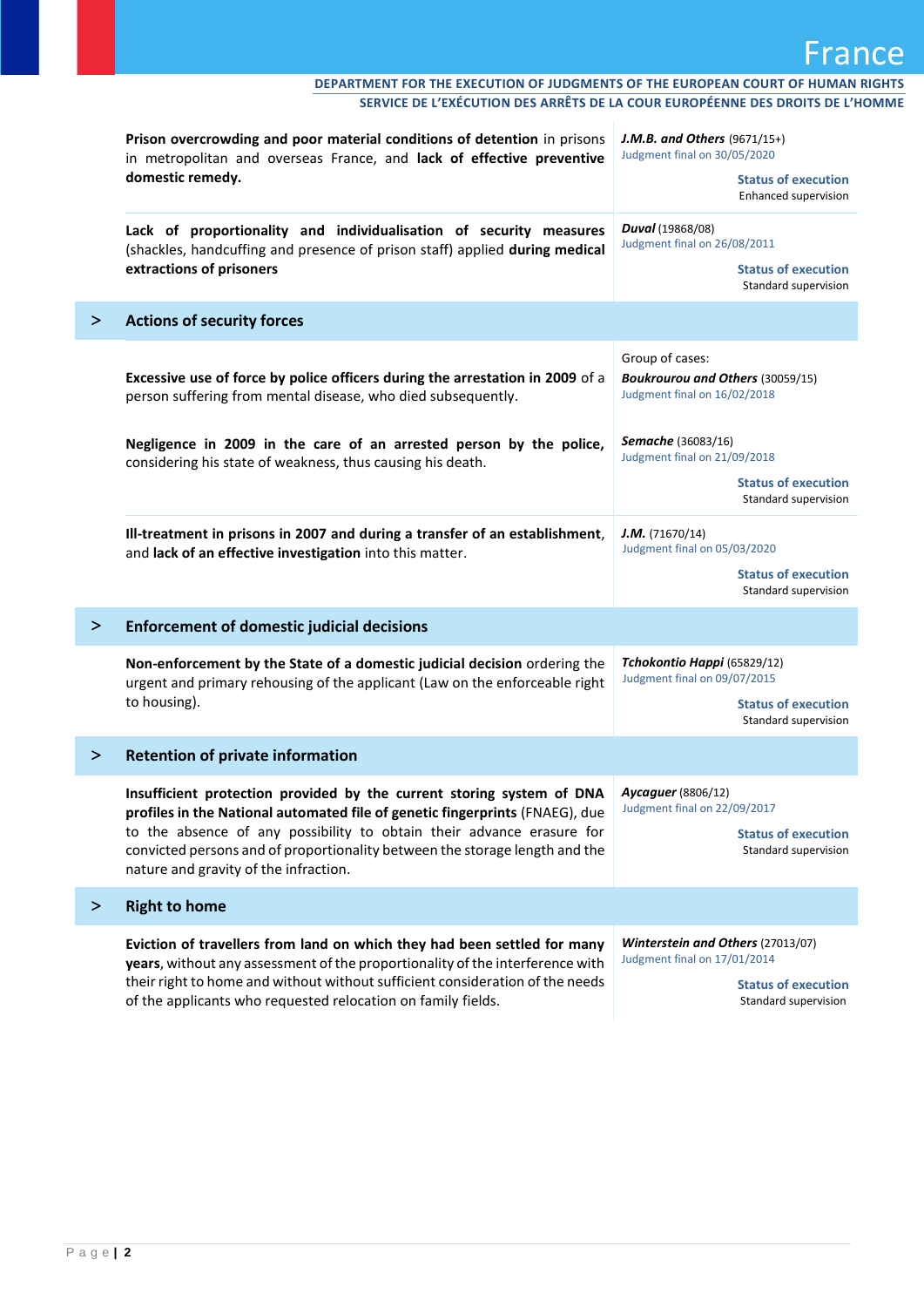|        | Prison overcrowding and poor material conditions of detention in prisons<br>in metropolitan and overseas France, and lack of effective preventive<br>domestic remedy.                                                                                                                                                                                  | <b>J.M.B. and Others</b> $(9671/15+)$<br>Judgment final on 30/05/2020<br><b>Status of execution</b><br>Enhanced supervision |
|--------|--------------------------------------------------------------------------------------------------------------------------------------------------------------------------------------------------------------------------------------------------------------------------------------------------------------------------------------------------------|-----------------------------------------------------------------------------------------------------------------------------|
|        | Lack of proportionality and individualisation of security measures<br>(shackles, handcuffing and presence of prison staff) applied during medical<br>extractions of prisoners                                                                                                                                                                          | <b>Duval</b> (19868/08)<br>Judgment final on 26/08/2011<br><b>Status of execution</b><br>Standard supervision               |
| ⋗      | <b>Actions of security forces</b>                                                                                                                                                                                                                                                                                                                      |                                                                                                                             |
|        | Excessive use of force by police officers during the arrestation in 2009 of a<br>person suffering from mental disease, who died subsequently.                                                                                                                                                                                                          | Group of cases:<br><b>Boukrourou and Others (30059/15)</b><br>Judgment final on 16/02/2018                                  |
|        | Negligence in 2009 in the care of an arrested person by the police,<br>considering his state of weakness, thus causing his death.                                                                                                                                                                                                                      | Semache (36083/16)<br>Judgment final on 21/09/2018<br><b>Status of execution</b><br>Standard supervision                    |
|        | Ill-treatment in prisons in 2007 and during a transfer of an establishment,<br>and lack of an effective investigation into this matter.                                                                                                                                                                                                                | J.M. (71670/14)<br>Judgment final on 05/03/2020<br><b>Status of execution</b><br>Standard supervision                       |
| $\geq$ | <b>Enforcement of domestic judicial decisions</b>                                                                                                                                                                                                                                                                                                      |                                                                                                                             |
|        | Non-enforcement by the State of a domestic judicial decision ordering the<br>urgent and primary rehousing of the applicant (Law on the enforceable right<br>to housing).                                                                                                                                                                               | Tchokontio Happi (65829/12)<br>Judgment final on 09/07/2015<br><b>Status of execution</b><br>Standard supervision           |
| >      | <b>Retention of private information</b>                                                                                                                                                                                                                                                                                                                |                                                                                                                             |
|        | Insufficient protection provided by the current storing system of DNA<br>profiles in the National automated file of genetic fingerprints (FNAEG), due<br>to the absence of any possibility to obtain their advance erasure for<br>convicted persons and of proportionality between the storage length and the<br>nature and gravity of the infraction. | <b>Aycaguer</b> (8806/12)<br>Judgment final on 22/09/2017<br><b>Status of execution</b><br>Standard supervision             |
| ⋗      | <b>Right to home</b>                                                                                                                                                                                                                                                                                                                                   |                                                                                                                             |
|        | Eviction of travellers from land on which they had been settled for many<br>years, without any assessment of the proportionality of the interference with<br>their right to home and without without sufficient consideration of the needs<br>of the applicants who requested relocation on family fields.                                             | Winterstein and Others (27013/07)<br>Judgment final on 17/01/2014<br><b>Status of execution</b><br>Standard supervision     |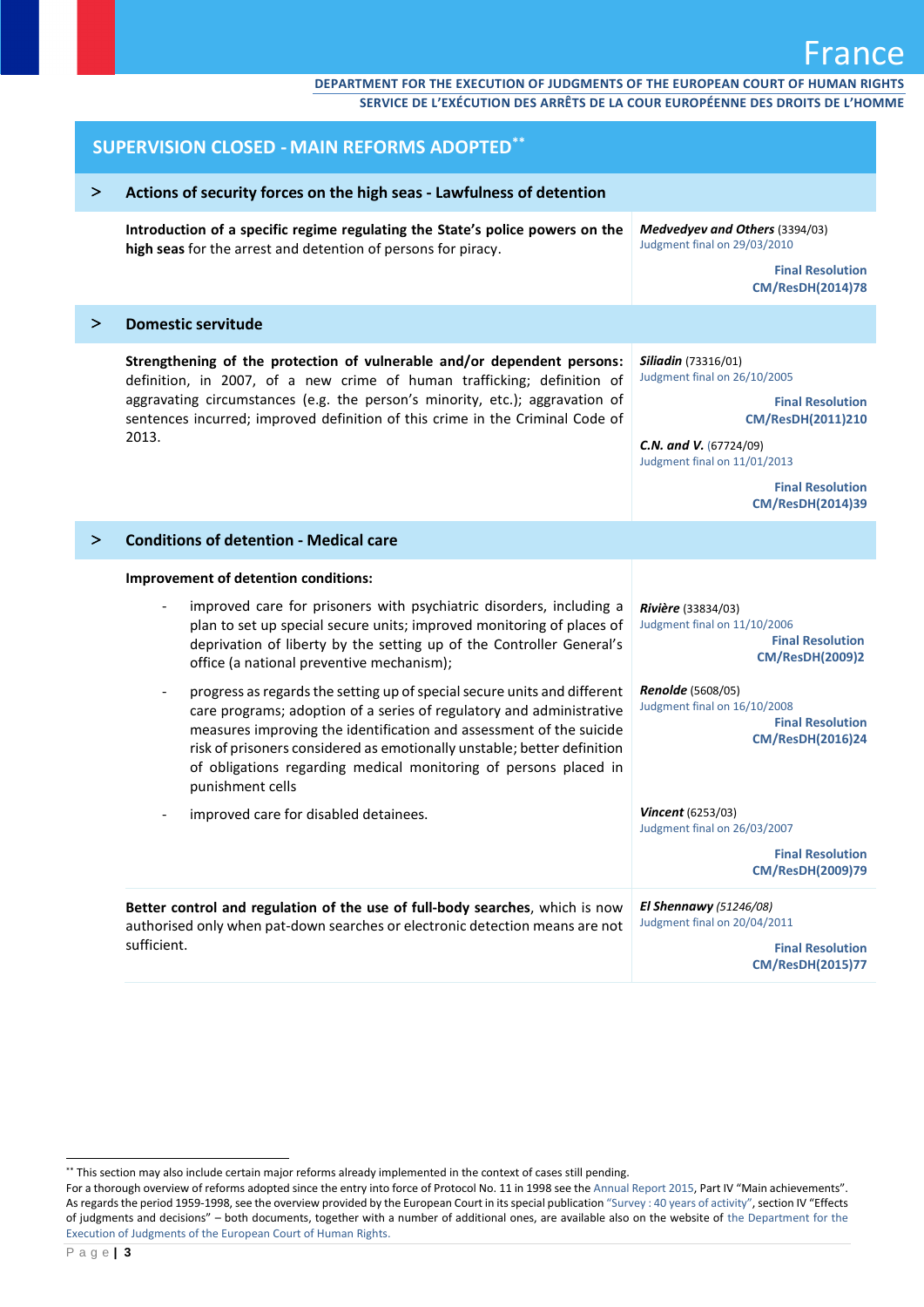#### **DEPARTMENT FOR THE EXECUTION OF JUDGMENTS OF THE EUROPEAN COURT OF HUMAN RIGHTS SERVICE DE L'EXÉCUTION DES ARRÊTS DE LA COUR EUROPÉENNE DES DROITS DE L'HOMME**

|        | <b>SUPERVISION CLOSED - MAIN REFORMS ADOPTED**</b>                                                                                                                                                                                                                                                                                                                                                                     |                                                                                                                                                                                                        |  |
|--------|------------------------------------------------------------------------------------------------------------------------------------------------------------------------------------------------------------------------------------------------------------------------------------------------------------------------------------------------------------------------------------------------------------------------|--------------------------------------------------------------------------------------------------------------------------------------------------------------------------------------------------------|--|
| $\geq$ | Actions of security forces on the high seas - Lawfulness of detention                                                                                                                                                                                                                                                                                                                                                  |                                                                                                                                                                                                        |  |
|        | Introduction of a specific regime regulating the State's police powers on the<br>high seas for the arrest and detention of persons for piracy.                                                                                                                                                                                                                                                                         | Medvedyev and Others (3394/03)<br>Judgment final on 29/03/2010                                                                                                                                         |  |
|        |                                                                                                                                                                                                                                                                                                                                                                                                                        | <b>Final Resolution</b><br><b>CM/ResDH(2014)78</b>                                                                                                                                                     |  |
| $\geq$ | <b>Domestic servitude</b>                                                                                                                                                                                                                                                                                                                                                                                              |                                                                                                                                                                                                        |  |
|        | Strengthening of the protection of vulnerable and/or dependent persons:<br>definition, in 2007, of a new crime of human trafficking; definition of<br>aggravating circumstances (e.g. the person's minority, etc.); aggravation of<br>sentences incurred; improved definition of this crime in the Criminal Code of<br>2013.                                                                                           | <b>Siliadin</b> (73316/01)<br>Judgment final on 26/10/2005<br><b>Final Resolution</b><br><b>CM/ResDH(2011)210</b><br>C.N. and V. (67724/09)<br>Judgment final on 11/01/2013<br><b>Final Resolution</b> |  |
|        |                                                                                                                                                                                                                                                                                                                                                                                                                        | <b>CM/ResDH(2014)39</b>                                                                                                                                                                                |  |
| ⋗      | <b>Conditions of detention - Medical care</b>                                                                                                                                                                                                                                                                                                                                                                          |                                                                                                                                                                                                        |  |
|        | Improvement of detention conditions:                                                                                                                                                                                                                                                                                                                                                                                   |                                                                                                                                                                                                        |  |
|        | improved care for prisoners with psychiatric disorders, including a<br>plan to set up special secure units; improved monitoring of places of<br>deprivation of liberty by the setting up of the Controller General's<br>office (a national preventive mechanism);                                                                                                                                                      | Rivière (33834/03)<br>Judgment final on 11/10/2006<br><b>Final Resolution</b><br><b>CM/ResDH(2009)2</b>                                                                                                |  |
|        | progress as regards the setting up of special secure units and different<br>$\overline{\phantom{a}}$<br>care programs; adoption of a series of regulatory and administrative<br>measures improving the identification and assessment of the suicide<br>risk of prisoners considered as emotionally unstable; better definition<br>of obligations regarding medical monitoring of persons placed in<br>punishment cells | <b>Renolde</b> (5608/05)<br>Judgment final on 16/10/2008<br><b>Final Resolution</b><br><b>CM/ResDH(2016)24</b>                                                                                         |  |
|        | improved care for disabled detainees.                                                                                                                                                                                                                                                                                                                                                                                  | <b>Vincent</b> (6253/03)<br>Judgment final on 26/03/2007                                                                                                                                               |  |
|        |                                                                                                                                                                                                                                                                                                                                                                                                                        | <b>Final Resolution</b><br>CM/ResDH(2009)79                                                                                                                                                            |  |
|        | Better control and regulation of the use of full-body searches, which is now<br>authorised only when pat-down searches or electronic detection means are not<br>sufficient.                                                                                                                                                                                                                                            | El Shennawy $(51246/08)$<br>Judgment final on 20/04/2011<br><b>Final Resolution</b><br><b>CM/ResDH(2015)77</b>                                                                                         |  |

l

<sup>\*\*</sup> This section may also include certain major reforms already implemented in the context of cases still pending.

For a thorough overview of reforms adopted since the entry into force of Protocol No. 11 in 1998 see th[e Annual Report 2015](https://rm.coe.int/CoERMPublicCommonSearchServices/DisplayDCTMContent?documentId=090000168062fe2d), Part IV "Main achievements". As regards the period 1959-1998, see the overview provided by the European Court in its special publication "[Survey : 40 years of activity](http://www.echr.coe.int/Documents/Survey_19591998_BIL.pdf)", section IV "Effects of judgments and decisions" – both documents, together with a number of additional ones, are available also on the website o[f the Department for the](http://www.coe.int/en/web/execution/closed-cases)  [Execution of Judgments of the European Court of Human Rights.](http://www.coe.int/en/web/execution/closed-cases)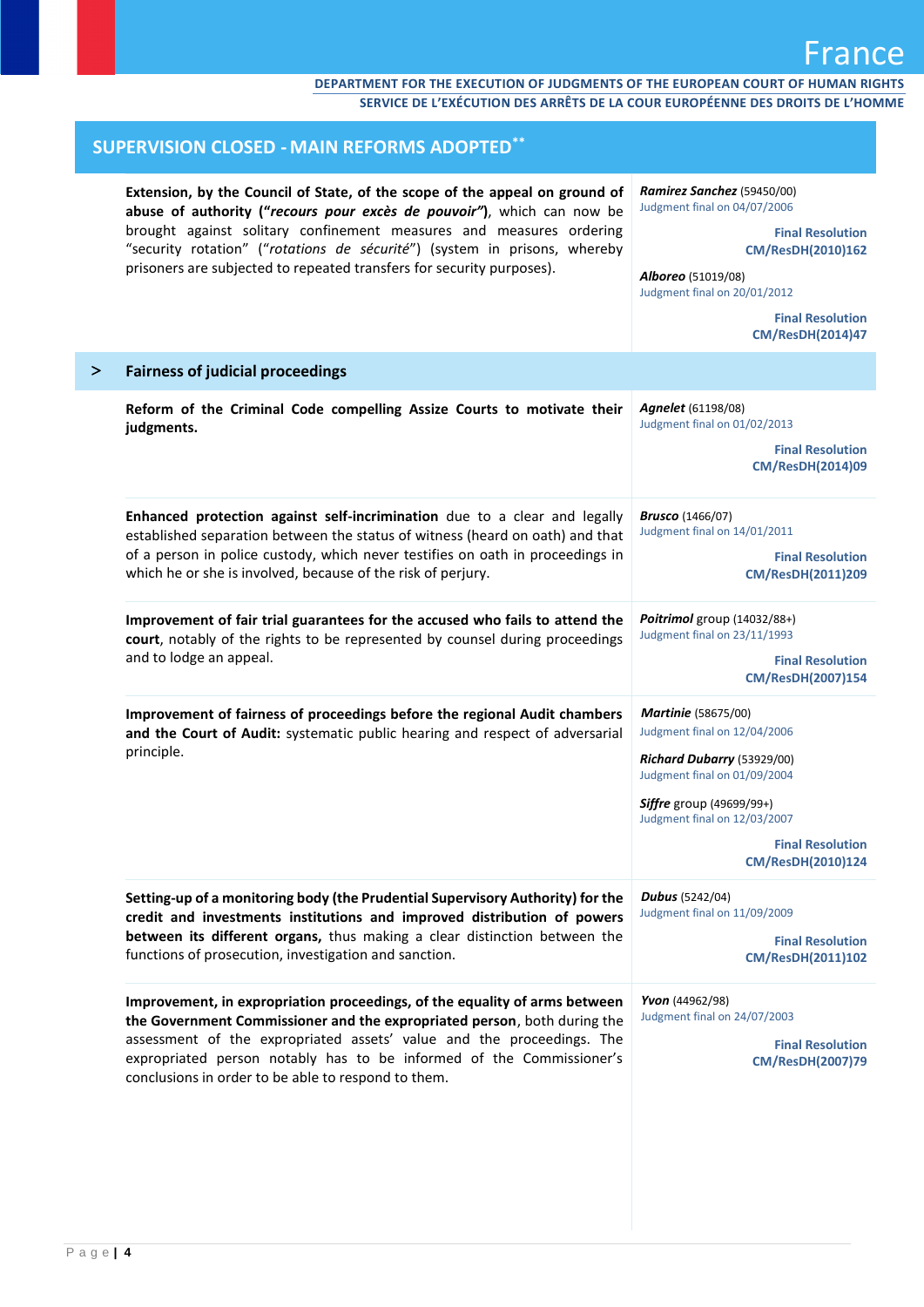| <b>SUPERVISION CLOSED - MAIN REFORMS ADOPTED"</b>                                                                                                                                                                                                                                                                                                                                  |                                                                                                                                                                                                                                             |  |
|------------------------------------------------------------------------------------------------------------------------------------------------------------------------------------------------------------------------------------------------------------------------------------------------------------------------------------------------------------------------------------|---------------------------------------------------------------------------------------------------------------------------------------------------------------------------------------------------------------------------------------------|--|
| Extension, by the Council of State, of the scope of the appeal on ground of<br>abuse of authority ("recours pour excès de pouvoir"), which can now be<br>brought against solitary confinement measures and measures ordering<br>"security rotation" ("rotations de sécurité") (system in prisons, whereby<br>prisoners are subjected to repeated transfers for security purposes). | Ramirez Sanchez (59450/00)<br>Judgment final on 04/07/2006<br><b>Final Resolution</b><br>CM/ResDH(2010)162<br>Alboreo (51019/08)<br>Judgment final on 20/01/2012<br><b>Final Resolution</b><br><b>CM/ResDH(2014)47</b>                      |  |
| <b>Fairness of judicial proceedings</b>                                                                                                                                                                                                                                                                                                                                            |                                                                                                                                                                                                                                             |  |
| Reform of the Criminal Code compelling Assize Courts to motivate their<br>judgments.                                                                                                                                                                                                                                                                                               | <b>Agnelet</b> (61198/08)<br>Judgment final on 01/02/2013<br><b>Final Resolution</b><br><b>CM/ResDH(2014)09</b>                                                                                                                             |  |
| Enhanced protection against self-incrimination due to a clear and legally<br>established separation between the status of witness (heard on oath) and that<br>of a person in police custody, which never testifies on oath in proceedings in<br>which he or she is involved, because of the risk of perjury.                                                                       | <b>Brusco</b> (1466/07)<br>Judgment final on 14/01/2011<br><b>Final Resolution</b><br>CM/ResDH(2011)209                                                                                                                                     |  |
| Improvement of fair trial guarantees for the accused who fails to attend the<br>court, notably of the rights to be represented by counsel during proceedings<br>and to lodge an appeal.                                                                                                                                                                                            | Poitrimol group (14032/88+)<br>Judgment final on 23/11/1993<br><b>Final Resolution</b><br>CM/ResDH(2007)154                                                                                                                                 |  |
| Improvement of fairness of proceedings before the regional Audit chambers<br>and the Court of Audit: systematic public hearing and respect of adversarial<br>principle.                                                                                                                                                                                                            | <b>Martinie</b> (58675/00)<br>Judgment final on 12/04/2006<br>Richard Dubarry (53929/00)<br>Judgment final on 01/09/2004<br><b>Siffre</b> group (49699/99+)<br>Judgment final on 12/03/2007<br><b>Final Resolution</b><br>CM/ResDH(2010)124 |  |
| Setting-up of a monitoring body (the Prudential Supervisory Authority) for the<br>credit and investments institutions and improved distribution of powers<br>between its different organs, thus making a clear distinction between the<br>functions of prosecution, investigation and sanction.                                                                                    | <b>Dubus</b> (5242/04)<br>Judgment final on 11/09/2009<br><b>Final Resolution</b><br>CM/ResDH(2011)102                                                                                                                                      |  |
| Improvement, in expropriation proceedings, of the equality of arms between<br>the Government Commissioner and the expropriated person, both during the<br>assessment of the expropriated assets' value and the proceedings. The<br>expropriated person notably has to be informed of the Commissioner's<br>conclusions in order to be able to respond to them.                     | Yvon (44962/98)<br>Judgment final on 24/07/2003<br><b>Final Resolution</b><br><b>CM/ResDH(2007)79</b>                                                                                                                                       |  |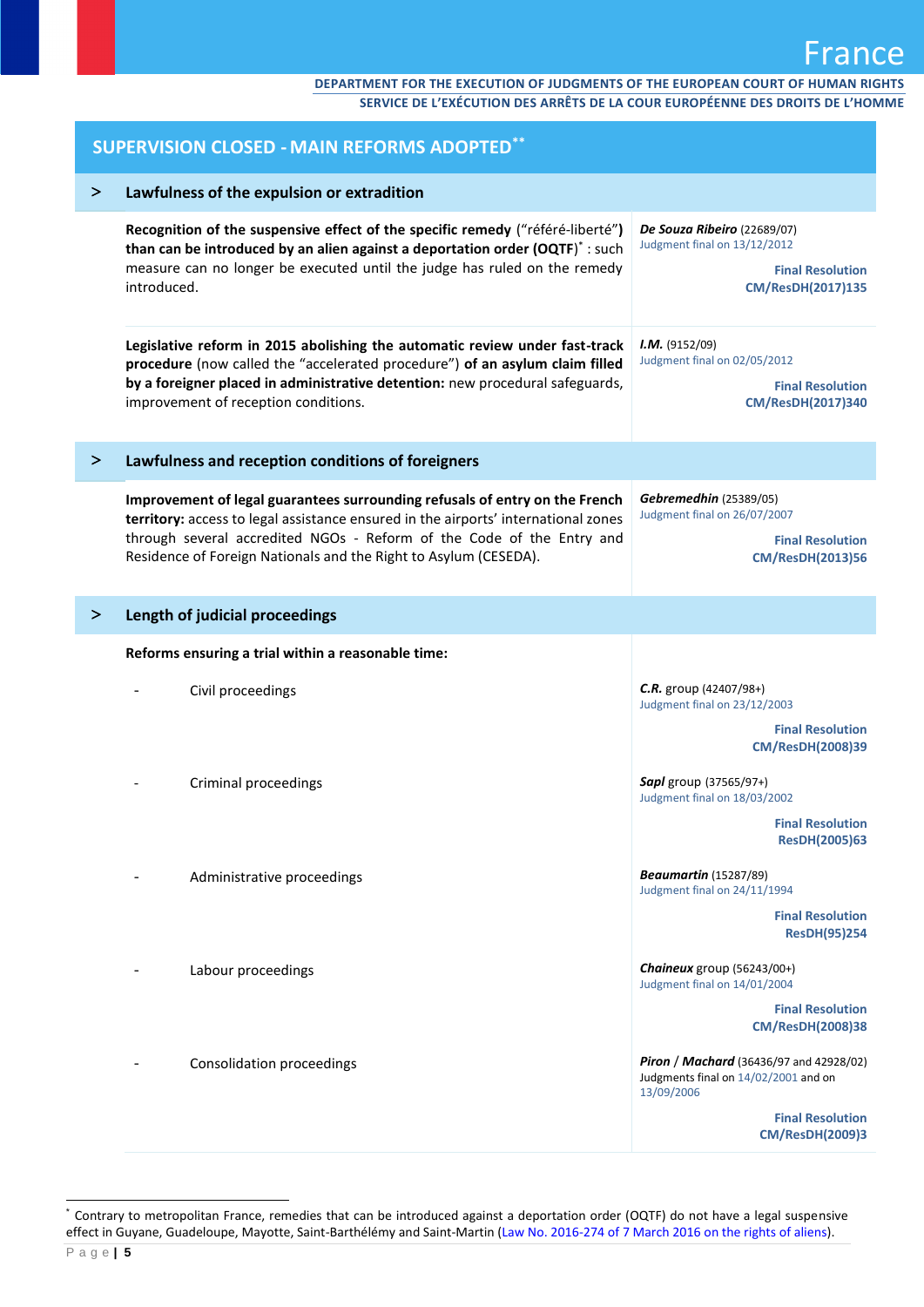| <b>SUPERVISION CLOSED - MAIN REFORMS ADOPTED**</b> |                                                                                                                                                                                                                                                                                                                |                                                                                                              |  |
|----------------------------------------------------|----------------------------------------------------------------------------------------------------------------------------------------------------------------------------------------------------------------------------------------------------------------------------------------------------------------|--------------------------------------------------------------------------------------------------------------|--|
| ➤                                                  | Lawfulness of the expulsion or extradition                                                                                                                                                                                                                                                                     |                                                                                                              |  |
|                                                    | Recognition of the suspensive effect of the specific remedy ("référé-liberté")<br>than can be introduced by an alien against a deportation order (OQTF)*: such<br>measure can no longer be executed until the judge has ruled on the remedy<br>introduced.                                                     | De Souza Ribeiro (22689/07)<br>Judgment final on 13/12/2012<br><b>Final Resolution</b><br>CM/ResDH(2017)135  |  |
|                                                    | Legislative reform in 2015 abolishing the automatic review under fast-track<br>procedure (now called the "accelerated procedure") of an asylum claim filled<br>by a foreigner placed in administrative detention: new procedural safeguards,<br>improvement of reception conditions.                           | I.M. (9152/09)<br>Judgment final on 02/05/2012<br><b>Final Resolution</b><br>CM/ResDH(2017)340               |  |
| ⋗                                                  | Lawfulness and reception conditions of foreigners                                                                                                                                                                                                                                                              |                                                                                                              |  |
|                                                    | Improvement of legal guarantees surrounding refusals of entry on the French<br>territory: access to legal assistance ensured in the airports' international zones<br>through several accredited NGOs - Reform of the Code of the Entry and<br>Residence of Foreign Nationals and the Right to Asylum (CESEDA). | Gebremedhin (25389/05)<br>Judgment final on 26/07/2007<br><b>Final Resolution</b><br><b>CM/ResDH(2013)56</b> |  |
| ⋗                                                  | Length of judicial proceedings                                                                                                                                                                                                                                                                                 |                                                                                                              |  |
|                                                    | Reforms ensuring a trial within a reasonable time:                                                                                                                                                                                                                                                             |                                                                                                              |  |
|                                                    | Civil proceedings                                                                                                                                                                                                                                                                                              | $C.R.$ group (42407/98+)<br>Judgment final on 23/12/2003<br><b>Final Resolution</b>                          |  |
|                                                    | Criminal proceedings                                                                                                                                                                                                                                                                                           | <b>CM/ResDH(2008)39</b><br>Sapl group (37565/97+)<br>Judgment final on 18/03/2002<br><b>Final Resolution</b> |  |
|                                                    | Administrative proceedings                                                                                                                                                                                                                                                                                     | <b>ResDH(2005)63</b><br><b>Beaumartin</b> (15287/89)<br>Judgment final on 24/11/1994                         |  |
|                                                    |                                                                                                                                                                                                                                                                                                                | <b>Final Resolution</b><br><b>ResDH(95)254</b>                                                               |  |
|                                                    | Labour proceedings                                                                                                                                                                                                                                                                                             | Chaineux group (56243/00+)<br>Judgment final on 14/01/2004                                                   |  |
|                                                    |                                                                                                                                                                                                                                                                                                                | <b>Final Resolution</b><br><b>CM/ResDH(2008)38</b>                                                           |  |
|                                                    | Consolidation proceedings                                                                                                                                                                                                                                                                                      | <b>Piron / Machard</b> (36436/97 and 42928/02)<br>Judgments final on 14/02/2001 and on<br>13/09/2006         |  |
|                                                    |                                                                                                                                                                                                                                                                                                                | <b>Final Resolution</b><br><b>CM/ResDH(2009)3</b>                                                            |  |

l \* Contrary to metropolitan France, remedies that can be introduced against a deportation order (OQTF) do not have a legal suspensive effect in Guyane, Guadeloupe, Mayotte, Saint-Barthélémy and Saint-Martin [\(Law No. 2016-274 of 7 March 2016 on the rights of aliens\)](https://www.legifrance.gouv.fr/affichLoiPubliee.do;jsessionid=638A70FAB69EAC855D36B3205161F0A9.tpdila10v_2?idDocument=JORFDOLE000029287359&type=expose&typeLoi=&legislature=14).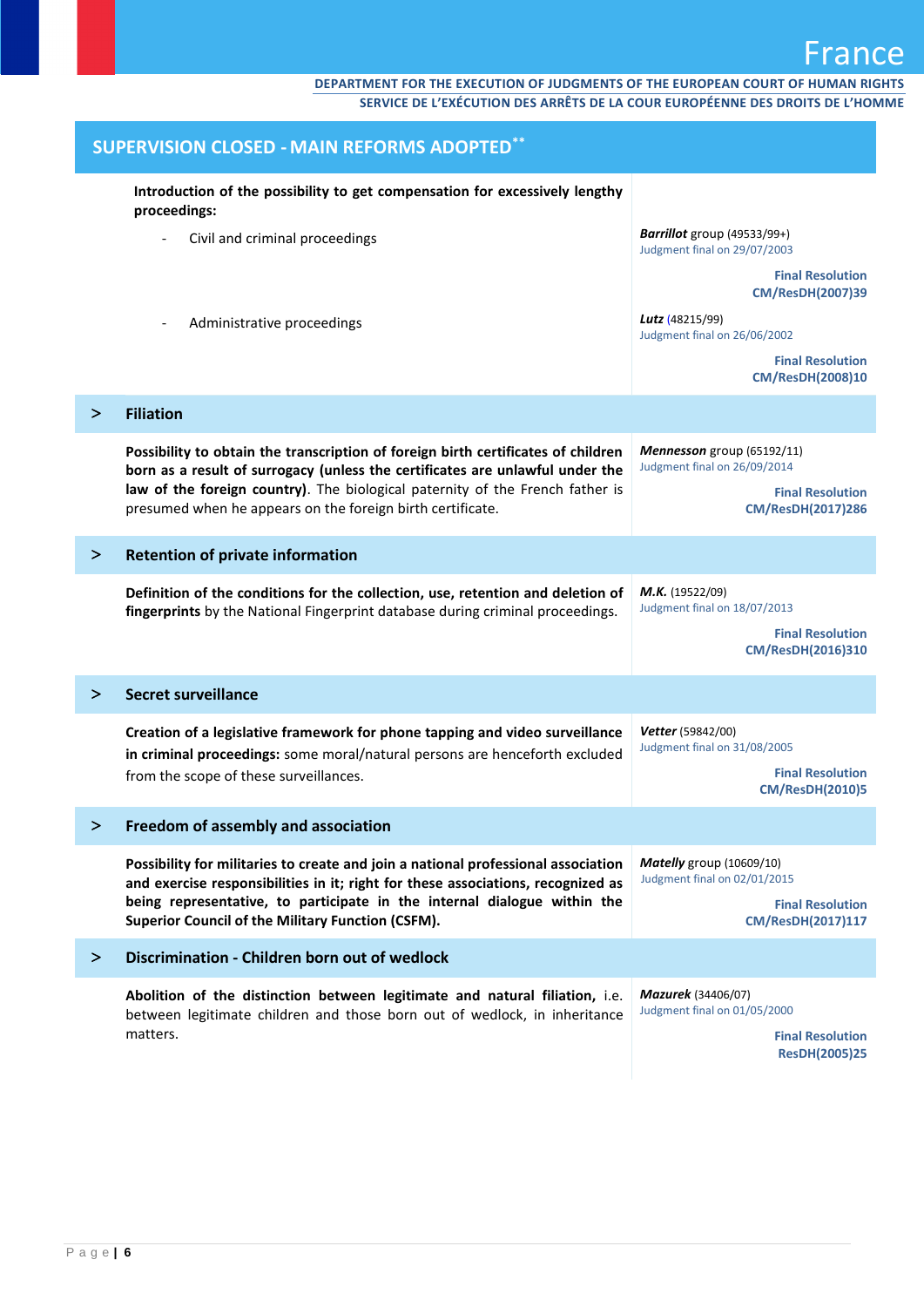| <b>SUPERVISION CLOSED - MAIN REFORMS ADOPTED**</b> |                                                                                                                                                                                                                                                                                                               |                                                                                                       |
|----------------------------------------------------|---------------------------------------------------------------------------------------------------------------------------------------------------------------------------------------------------------------------------------------------------------------------------------------------------------------|-------------------------------------------------------------------------------------------------------|
|                                                    | Introduction of the possibility to get compensation for excessively lengthy<br>proceedings:                                                                                                                                                                                                                   |                                                                                                       |
|                                                    | Civil and criminal proceedings                                                                                                                                                                                                                                                                                | <b>Barrillot</b> group (49533/99+)<br>Judgment final on 29/07/2003                                    |
|                                                    |                                                                                                                                                                                                                                                                                                               | <b>Final Resolution</b><br><b>CM/ResDH(2007)39</b>                                                    |
|                                                    | Administrative proceedings                                                                                                                                                                                                                                                                                    | Lutz (48215/99)<br>Judgment final on 26/06/2002                                                       |
|                                                    |                                                                                                                                                                                                                                                                                                               | <b>Final Resolution</b><br><b>CM/ResDH(2008)10</b>                                                    |
| ⋗                                                  | <b>Filiation</b>                                                                                                                                                                                                                                                                                              |                                                                                                       |
|                                                    | Possibility to obtain the transcription of foreign birth certificates of children<br>born as a result of surrogacy (unless the certificates are unlawful under the                                                                                                                                            | Mennesson group (65192/11)<br>Judgment final on 26/09/2014                                            |
|                                                    | law of the foreign country). The biological paternity of the French father is<br>presumed when he appears on the foreign birth certificate.                                                                                                                                                                   | <b>Final Resolution</b><br>CM/ResDH(2017)286                                                          |
| ⋗                                                  | <b>Retention of private information</b>                                                                                                                                                                                                                                                                       |                                                                                                       |
|                                                    | Definition of the conditions for the collection, use, retention and deletion of<br>fingerprints by the National Fingerprint database during criminal proceedings.                                                                                                                                             | M.K. (19522/09)<br>Judgment final on 18/07/2013                                                       |
|                                                    |                                                                                                                                                                                                                                                                                                               | <b>Final Resolution</b><br>CM/ResDH(2016)310                                                          |
| ➢                                                  | <b>Secret surveillance</b>                                                                                                                                                                                                                                                                                    |                                                                                                       |
|                                                    | Creation of a legislative framework for phone tapping and video surveillance<br>in criminal proceedings: some moral/natural persons are henceforth excluded                                                                                                                                                   | Vetter (59842/00)<br>Judgment final on 31/08/2005                                                     |
|                                                    | from the scope of these surveillances.                                                                                                                                                                                                                                                                        | <b>Final Resolution</b><br><b>CM/ResDH(2010)5</b>                                                     |
| ⋗                                                  | Freedom of assembly and association                                                                                                                                                                                                                                                                           |                                                                                                       |
|                                                    | Possibility for militaries to create and join a national professional association<br>and exercise responsibilities in it; right for these associations, recognized as<br>being representative, to participate in the internal dialogue within the<br><b>Superior Council of the Military Function (CSFM).</b> | Matelly group (10609/10)<br>Judgment final on 02/01/2015                                              |
|                                                    |                                                                                                                                                                                                                                                                                                               | <b>Final Resolution</b><br><b>CM/ResDH(2017)117</b>                                                   |
| $\geq$                                             | Discrimination - Children born out of wedlock                                                                                                                                                                                                                                                                 |                                                                                                       |
|                                                    | Abolition of the distinction between legitimate and natural filiation, i.e.<br>between legitimate children and those born out of wedlock, in inheritance<br>matters.                                                                                                                                          | Mazurek (34406/07)<br>Judgment final on 01/05/2000<br><b>Final Resolution</b><br><b>ResDH(2005)25</b> |